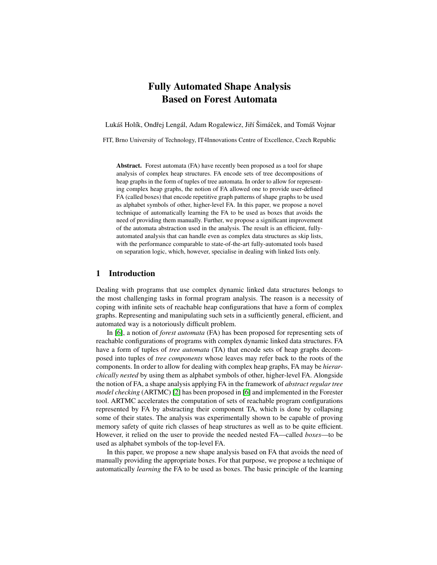# Fully Automated Shape Analysis Based on Forest Automata

Lukáš Holík, Ondřej Lengál, Adam Rogalewicz, Jiří Šimáček, and Tomáš Vojnar

FIT, Brno University of Technology, IT4Innovations Centre of Excellence, Czech Republic

Abstract. Forest automata (FA) have recently been proposed as a tool for shape analysis of complex heap structures. FA encode sets of tree decompositions of heap graphs in the form of tuples of tree automata. In order to allow for representing complex heap graphs, the notion of FA allowed one to provide user-defined FA (called boxes) that encode repetitive graph patterns of shape graphs to be used as alphabet symbols of other, higher-level FA. In this paper, we propose a novel technique of automatically learning the FA to be used as boxes that avoids the need of providing them manually. Further, we propose a significant improvement of the automata abstraction used in the analysis. The result is an efficient, fullyautomated analysis that can handle even as complex data structures as skip lists, with the performance comparable to state-of-the-art fully-automated tools based on separation logic, which, however, specialise in dealing with linked lists only.

## 1 Introduction

Dealing with programs that use complex dynamic linked data structures belongs to the most challenging tasks in formal program analysis. The reason is a necessity of coping with infinite sets of reachable heap configurations that have a form of complex graphs. Representing and manipulating such sets in a sufficiently general, efficient, and automated way is a notoriously difficult problem.

In [\[6\]](#page-15-0), a notion of *forest automata* (FA) has been proposed for representing sets of reachable configurations of programs with complex dynamic linked data structures. FA have a form of tuples of *tree automata* (TA) that encode sets of heap graphs decomposed into tuples of *tree components* whose leaves may refer back to the roots of the components. In order to allow for dealing with complex heap graphs, FA may be *hierarchically nested* by using them as alphabet symbols of other, higher-level FA. Alongside the notion of FA, a shape analysis applying FA in the framework of *abstract regular tree model checking* (ARTMC) [\[2\]](#page-15-1) has been proposed in [\[6\]](#page-15-0) and implemented in the Forester tool. ARTMC accelerates the computation of sets of reachable program configurations represented by FA by abstracting their component TA, which is done by collapsing some of their states. The analysis was experimentally shown to be capable of proving memory safety of quite rich classes of heap structures as well as to be quite efficient. However, it relied on the user to provide the needed nested FA—called *boxes*—to be used as alphabet symbols of the top-level FA.

In this paper, we propose a new shape analysis based on FA that avoids the need of manually providing the appropriate boxes. For that purpose, we propose a technique of automatically *learning* the FA to be used as boxes. The basic principle of the learning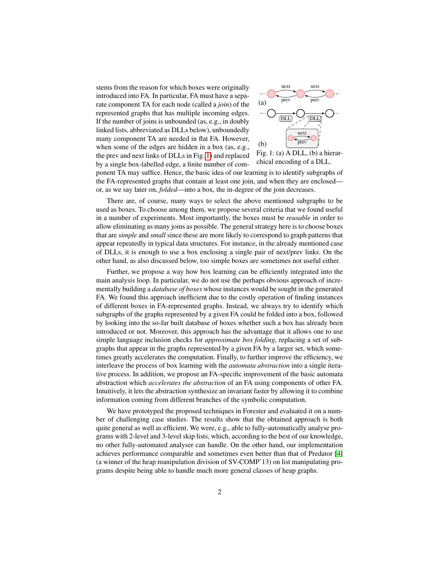stems from the reason for which boxes were originally introduced into FA. In particular, FA must have a separate component TA for each node (called a *join*) of the represented graphs that has multiple incoming edges. If the number of joins is unbounded (as, e.g., in doubly linked lists, abbreviated as DLLs below), unboundedly many component TA are needed in flat FA. However, when some of the edges are hidden in a box (as, e.g., the prev and next links of DLLs in Fig. [1\)](#page-1-0) and replaced by a single box-labelled edge, a finite number of com-

<span id="page-1-0"></span>

Fig. 1: (a) A DLL, (b) a hierarchical encoding of a DLL.

ponent TA may suffice. Hence, the basic idea of our learning is to identify subgraphs of the FA-represented graphs that contain at least one join, and when they are enclosed or, as we say later on, *folded*—into a box, the in-degree of the join decreases.

There are, of course, many ways to select the above mentioned subgraphs to be used as boxes. To choose among them, we propose several criteria that we found useful in a number of experiments. Most importantly, the boxes must be *reusable* in order to allow eliminating as many joins as possible. The general strategy here is to choose boxes that are *simple* and *small* since these are more likely to correspond to graph patterns that appear repeatedly in typical data structures. For instance, in the already mentioned case of DLLs, it is enough to use a box enclosing a single pair of next/prev links. On the other hand, as also discussed below, too simple boxes are sometimes not useful either.

Further, we propose a way how box learning can be efficiently integrated into the main analysis loop. In particular, we do not use the perhaps obvious approach of incrementally building a *database of boxes* whose instances would be sought in the generated FA. We found this approach inefficient due to the costly operation of finding instances of different boxes in FA-represented graphs. Instead, we always try to identify which subgraphs of the graphs represented by a given FA could be folded into a box, followed by looking into the so-far built database of boxes whether such a box has already been introduced or not. Moreover, this approach has the advantage that it allows one to use simple language inclusion checks for *approximate box folding*, replacing a set of subgraphs that appear in the graphs represented by a given FA by a larger set, which sometimes greatly accelerates the computation. Finally, to further improve the efficiency, we interleave the process of box learning with the *automata abstraction* into a single iterative process. In addition, we propose an FA-specific improvement of the basic automata abstraction which *accelerates the abstraction* of an FA using components of other FA. Intuitively, it lets the abstraction synthesize an invariant faster by allowing it to combine information coming from different branches of the symbolic computation.

We have prototyped the proposed techniques in Forester and evaluated it on a number of challenging case studies. The results show that the obtained approach is both quite general as well as efficient. We were, e.g., able to fully-automatically analyse programs with 2-level and 3-level skip lists, which, according to the best of our knowledge, no other fully-automated analyser can handle. On the other hand, our implementation achieves performance comparable and sometimes even better than that of Predator [\[4\]](#page-15-2) (a winner of the heap manipulation division of SV-COMP'13) on list manipulating programs despite being able to handle much more general classes of heap graphs.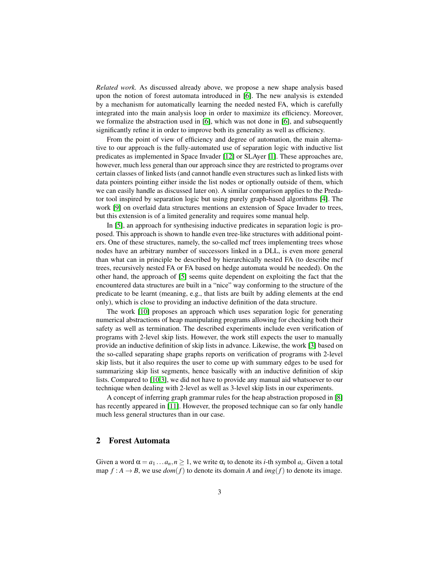*Related work.* As discussed already above, we propose a new shape analysis based upon the notion of forest automata introduced in [\[6\]](#page-15-0). The new analysis is extended by a mechanism for automatically learning the needed nested FA, which is carefully integrated into the main analysis loop in order to maximize its efficiency. Moreover, we formalize the abstraction used in [\[6\]](#page-15-0), which was not done in [\[6\]](#page-15-0), and subsequently significantly refine it in order to improve both its generality as well as efficiency.

From the point of view of efficiency and degree of automation, the main alternative to our approach is the fully-automated use of separation logic with inductive list predicates as implemented in Space Invader [\[12\]](#page-15-3) or SLAyer [\[1\]](#page-15-4). These approaches are, however, much less general than our approach since they are restricted to programs over certain classes of linked lists (and cannot handle even structures such as linked lists with data pointers pointing either inside the list nodes or optionally outside of them, which we can easily handle as discussed later on). A similar comparison applies to the Predator tool inspired by separation logic but using purely graph-based algorithms [\[4\]](#page-15-2). The work [\[9\]](#page-15-5) on overlaid data structures mentions an extension of Space Invader to trees, but this extension is of a limited generality and requires some manual help.

In [\[5\]](#page-15-6), an approach for synthesising inductive predicates in separation logic is proposed. This approach is shown to handle even tree-like structures with additional pointers. One of these structures, namely, the so-called mcf trees implementing trees whose nodes have an arbitrary number of successors linked in a DLL, is even more general than what can in principle be described by hierarchically nested FA (to describe mcf trees, recursively nested FA or FA based on hedge automata would be needed). On the other hand, the approach of [\[5\]](#page-15-6) seems quite dependent on exploiting the fact that the encountered data structures are built in a "nice" way conforming to the structure of the predicate to be learnt (meaning, e.g., that lists are built by adding elements at the end only), which is close to providing an inductive definition of the data structure.

The work [\[10\]](#page-15-7) proposes an approach which uses separation logic for generating numerical abstractions of heap manipulating programs allowing for checking both their safety as well as termination. The described experiments include even verification of programs with 2-level skip lists. However, the work still expects the user to manually provide an inductive definition of skip lists in advance. Likewise, the work [\[3\]](#page-15-8) based on the so-called separating shape graphs reports on verification of programs with 2-level skip lists, but it also requires the user to come up with summary edges to be used for summarizing skip list segments, hence basically with an inductive definition of skip lists. Compared to [\[10,](#page-15-7)[3\]](#page-15-8), we did not have to provide any manual aid whatsoever to our technique when dealing with 2-level as well as 3-level skip lists in our experiments.

A concept of inferring graph grammar rules for the heap abstraction proposed in [\[8\]](#page-15-9) has recently appeared in [\[11\]](#page-15-10). However, the proposed technique can so far only handle much less general structures than in our case.

## <span id="page-2-0"></span>2 Forest Automata

Given a word  $\alpha = a_1 \dots a_n, n \ge 1$ , we write  $\alpha_i$  to denote its *i*-th symbol  $a_i$ . Given a total map  $f : A \to B$ , we use  $dom(f)$  to denote its domain *A* and  $img(f)$  to denote its image.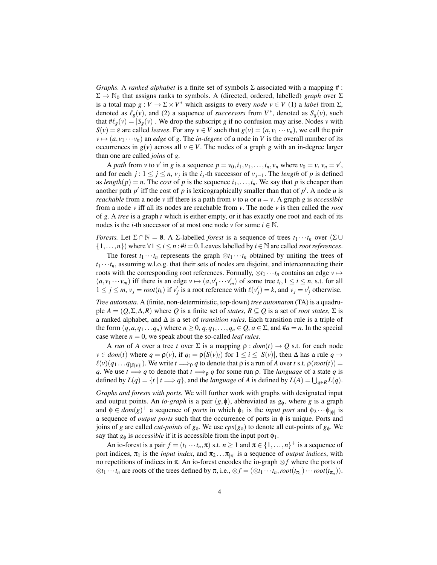*Graphs.* A *ranked alphabet* is a finite set of symbols  $\Sigma$  associated with a mapping #:  $\Sigma \to \mathbb{N}_0$  that assigns ranks to symbols. A (directed, ordered, labelled) *graph* over  $\Sigma$ is a total map  $g: V \to \Sigma \times V^*$  which assigns to every *node*  $v \in V$  (1) a *label* from  $\Sigma$ , denoted as  $\ell_g(v)$ , and (2) a sequence of *successors* from  $V^*$ , denoted as  $S_g(v)$ , such that  $\#\ell_g(v) = |S_g(v)|$ . We drop the subscript *g* if no confusion may arise. Nodes *v* with  $S(v) = \varepsilon$  are called *leaves*. For any  $v \in V$  such that  $g(v) = (a, v_1 \cdots v_n)$ , we call the pair  $v \mapsto (a, v_1 \cdots v_n)$  an *edge* of *g*. The *in-degree* of a node in *V* is the overall number of its occurrences in  $g(v)$  across all  $v \in V$ . The nodes of a graph g with an in-degree larger than one are called *joins* of *g*.

A *path* from *v* to *v'* in *g* is a sequence  $p = v_0, i_1, v_1, \ldots, i_n, v_n$  where  $v_0 = v, v_n = v'$ , and for each *j* :  $1 \le j \le n$ ,  $v_j$  is the *i<sub>j</sub>*-th successor of  $v_{j-1}$ . The *length* of *p* is defined as *length*( $p$ ) = *n*. The *cost* of  $p$  is the sequence  $i_1, \ldots, i_n$ . We say that  $p$  is cheaper than another path  $p'$  iff the cost of  $p$  is lexicographically smaller than that of  $p'$ . A node  $u$  is *reachable* from a node *v* iff there is a path from *v* to *u* or  $u = v$ . A graph *g* is *accessible* from a node *v* iff all its nodes are reachable from *v*. The node *v* is then called the *root* of *g*. A *tree* is a graph *t* which is either empty, or it has exactly one root and each of its nodes is the *i*-th successor of at most one node *v* for some  $i \in \mathbb{N}$ .

*Forests.* Let  $\Sigma \cap \mathbb{N} = \emptyset$ . A  $\Sigma$ -labelled *forest* is a sequence of trees  $t_1 \cdots t_n$  over  $(\Sigma \cup$  $\{1,\ldots,n\}$  where  $\forall 1 \le i \le n$ : #*i* = 0. Leaves labelled by *i*  $\in \mathbb{N}$  are called *root references*.

The forest  $t_1 \cdots t_n$  represents the graph  $\otimes t_1 \cdots t_n$  obtained by uniting the trees of  $t_1 \cdots t_n$ , assuming w.l.o.g. that their sets of nodes are disjoint, and interconnecting their roots with the corresponding root references. Formally,  $\otimes t_1 \cdots t_n$  contains an edge  $v \mapsto$  $(a, v_1 \cdots v_m)$  iff there is an edge  $v \mapsto (a, v'_1 \cdots v'_m)$  of some tree  $t_i, 1 \le i \le n$ , s.t. for all  $1 \le j \le m$ ,  $v_j = root(t_k)$  if  $v'_j$  is a root reference with  $\ell(v'_j) = k$ , and  $v_j = v'_j$  otherwise.

*Tree automata.* A (finite, non-deterministic, top-down) *tree automaton* (TA) is a quadruple  $A = (Q, \Sigma, \Delta, R)$  where Q is a finite set of *states*,  $R \subseteq Q$  is a set of *root states*,  $\Sigma$  is a ranked alphabet, and ∆ is a set of *transition rules*. Each transition rule is a triple of the form  $(q, a, q_1 \ldots q_n)$  where  $n \geq 0$ ,  $q, q_1, \ldots, q_n \in \mathcal{Q}$ ,  $a \in \Sigma$ , and  $\#a = n$ . In the special case where  $n = 0$ , we speak about the so-called *leaf rules*.

A *run* of A over a tree *t* over  $\Sigma$  is a mapping  $\rho : dom(t) \to Q$  s.t. for each node  $v \in dom(t)$  where  $q = \rho(v)$ , if  $q_i = \rho(S(v)_i)$  for  $1 \leq i \leq |S(v)|$ , then  $\Delta$  has a rule  $q \rightarrow$  $\ell(v)(q_1 \ldots q_{|S(v)|})$ . We write  $t \Longrightarrow_{\rho} q$  to denote that  $\rho$  is a run of *A* over *t* s.t.  $\rho(root(t)) =$ *q*. We use  $t \Longrightarrow q$  to denote that  $t \Longrightarrow_{\rho} q$  for some run  $\rho$ . The *language* of a state *q* is defined by  $L(q) = \{t \mid t \implies q\}$ , and the *language* of *A* is defined by  $L(A) = \bigcup_{q \in R} L(q)$ .

*Graphs and forests with ports.* We will further work with graphs with designated input and output points. An *io-graph* is a pair  $(g, \phi)$ , abbreviated as  $g_{\phi}$ , where *g* is a graph and  $\phi \in dom(g)^+$  a sequence of *ports* in which  $\phi_1$  is the *input port* and  $\phi_2 \cdots \phi_{|\phi|}$  is a sequence of *output ports* such that the occurrence of ports in φ is unique. Ports and joins of *g* are called *cut-points* of *g*φ. We use *cps*(*g*φ) to denote all cut-points of *g*φ. We say that  $g_{\phi}$  is *accessible* if it is accessible from the input port  $\phi_1$ .

An io-forest is a pair  $f = (t_1 \cdots t_n, \pi)$  s.t.  $n \ge 1$  and  $\pi \in \{1, \ldots, n\}^+$  is a sequence of port indices,  $\pi_1$  is the *input index*, and  $\pi_2 \dots \pi_{|\pi|}$  is a sequence of *output indices*, with no repetitions of indices in π. An io-forest encodes the io-graph ⊗*f* where the ports of  $\otimes t_1 \cdots t_n$  are roots of the trees defined by  $\pi$ , i.e.,  $\otimes f = (\otimes t_1 \cdots t_n, root(t_{\pi_1}) \cdots root(t_{\pi_n})).$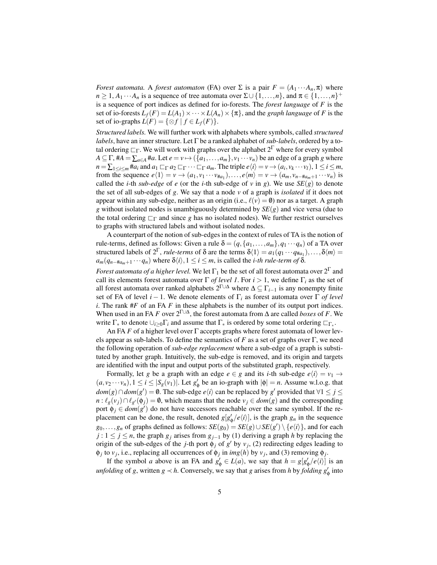*Forest automata.* A *forest automaton* (FA) over  $\Sigma$  is a pair  $F = (A_1 \cdots A_n, \pi)$  where  $n \geq 1, A_1 \cdots A_n$  is a sequence of tree automata over  $\Sigma \cup \{1, \ldots, n\}$ , and  $\pi \in \{1, \ldots, n\}^+$ is a sequence of port indices as defined for io-forests. The *forest language* of *F* is the set of io-forests  $L_f(F) = L(A_1) \times \cdots \times L(A_n) \times {\pi}$ , and the *graph language* of *F* is the set of io-graphs  $L(F) = \{ \otimes f \mid f \in L_f(F) \}.$ 

*Structured labels.* We will further work with alphabets where symbols, called *structured labels*, have an inner structure. Let Γ be a ranked alphabet of *sub-labels*, ordered by a total ordering  $\sqsubset_{\Gamma}$ . We will work with graphs over the alphabet  $2^{\Gamma}$  where for every symbol  $A \subseteq \Gamma$ , # $A = \sum_{a \in A}$  #*a*. Let  $e = v \mapsto (\{a_1, \ldots, a_m\}, v_1 \cdots v_n)$  be an edge of a graph *g* where  $n = \sum_{1 \le i \le m} \#a_i$  and  $a_1 \sqsubset_{\Gamma} a_2 \sqsubset_{\Gamma} \cdots \sqsubset_{\Gamma} a_m$ . The triple  $e\langle i \rangle = v \rightarrow (a_i, v_k \cdots v_l), 1 \le i \le m$ , from the sequence  $e(1) = v \rightarrow (a_1, v_1 \cdots v_{\text{#}a_1}), \ldots, e(m) = v \rightarrow (a_m, v_{n-\text{#}a_m+1} \cdots v_n)$  is called the *i*-th *sub-edge* of *e* (or the *i*-th sub-edge of *v* in *g*). We use  $SE(g)$  to denote the set of all sub-edges of *g*. We say that a node *v* of a graph is *isolated* if it does not appear within any sub-edge, neither as an origin (i.e.,  $\ell(v) = \emptyset$ ) nor as a target. A graph *g* without isolated nodes is unambiguously determined by *SE*(*g*) and vice versa (due to the total ordering  $\sqsubset_{\Gamma}$  and since *g* has no isolated nodes). We further restrict ourselves to graphs with structured labels and without isolated nodes.

A counterpart of the notion of sub-edges in the context of rules of TA is the notion of rule-terms, defined as follows: Given a rule  $\delta = (q, \{a_1, \ldots, a_m\}, q_1 \cdots q_n)$  of a TA over structured labels of  $2^{\Gamma}$ , *rule-terms* of  $\delta$  are the terms  $\delta(1) = a_1(q_1 \cdots q_{\text{\#}}_1), \ldots, \delta(m) =$  $a_m(q_{n-\#a_m+1}\cdots q_n)$  where  $\delta\langle i \rangle, 1 \leq i \leq m$ , is called the *i-th rule-term of*  $\delta$ .

*Forest automata of a higher level*. We let  $\Gamma_1$  be the set of all forest automata over  $2^\Gamma$  and call its elements forest automata over  $\Gamma$  *of level 1*. For  $i > 1$ , we define  $\Gamma_i$  as the set of all forest automata over ranked alphabets  $2^{\Gamma\cup\Delta}$  where  $\Delta \subseteq \Gamma_{i-1}$  is any nonempty finite set of FA of level  $i - 1$ . We denote elements of  $\Gamma_i$  as forest automata over  $\Gamma$  *of level i*. The rank #*F* of an FA *F* in these alphabets is the number of its output port indices. When used in an FA *F* over  $2^{\Gamma \cup \Delta}$ , the forest automata from  $\Delta$  are called *boxes* of *F*. We write  $\Gamma_*$  to denote  $\bigcup_{i\geq 0} \Gamma_i$  and assume that  $\Gamma_*$  is ordered by some total ordering  $\Box_{\Gamma_*}$ .

An FA *F* of a higher level over Γ accepts graphs where forest automata of lower levels appear as sub-labels. To define the semantics of *F* as a set of graphs over  $\Gamma$ , we need the following operation of *sub-edge replacement* where a sub-edge of a graph is substituted by another graph. Intuitively, the sub-edge is removed, and its origin and targets are identified with the input and output ports of the substituted graph, respectively.

Formally, let *g* be a graph with an edge  $e \in g$  and its *i*-th sub-edge  $e\langle i \rangle = v_1 \rightarrow$  $(a, v_2 \cdots v_n), 1 \le i \le |S_g(v_1)|$ . Let  $g'_\phi$  be an io-graph with  $|\phi| = n$ . Assume w.l.o.g. that *dom*(*g*)∩*dom*(*g*<sup>'</sup>) = 0. The sub-edge *e*\*i*) can be replaced by *g*<sup>'</sup> provided that ∀1 ≤ *j* ≤ *n* :  $\ell_g(v_j) ∩ \ell_{g'}(\phi_j) = ∅$ , which means that the node  $v_j ∈ dom(g)$  and the corresponding port  $\phi_j \in \text{dom}(g')$  do not have successors reachable over the same symbol. If the replacement can be done, the result, denoted  $g[g'_\phi/e(i)]$ , is the graph  $g_n$  in the sequence *g*<sub>0</sub>,...,*g<sub>n</sub>* of graphs defined as follows: *SE*(*g*<sub>0</sub>) = *SE*(*g*)∪*SE*(*g*<sup>'</sup>) \ {*e*\*i*}}, and for each *j* : 1 ≤ *j* ≤ *n*, the graph *g<sub>j</sub>* arises from *g<sub>j-1</sub>* by (1) deriving a graph *h* by replacing the origin of the sub-edges of the *j*-th port  $\phi_j$  of  $g'$  by  $v_j$ , (2) redirecting edges leading to  $\phi_j$  to  $v_j$ , i.e., replacing all occurrences of  $\phi_j$  in *img*(*h*) by  $v_j$ , and (3) removing  $\phi_j$ .

If the symbol *a* above is an FA and  $g'_{\phi} \in L(a)$ , we say that  $h = g[g'_{\phi}/e\langle i \rangle]$  is an *unfolding* of *g*, written  $g \prec h$ . Conversely, we say that *g* arises from *h* by *folding*  $g'_\phi$  into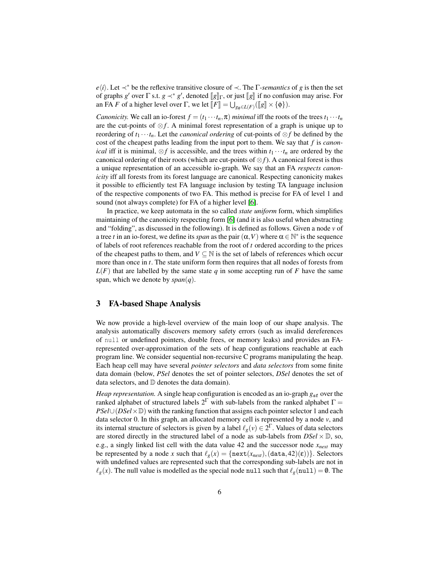*e* $\langle i \rangle$ . Let ≺<sup>∗</sup> be the reflexive transitive closure of  $\prec$ . The Γ-semantics of *g* is then the set of graphs *g*' over  $\Gamma$  s.t.  $g \prec^* g'$ , denoted  $[[g]]_{\Gamma}$ , or just  $[[g]]$  if no confusion may arise. For an FA *F* of a higher level over  $\Gamma$ , we let  $\llbracket F \rrbracket = \bigcup_{g_{\phi} \in L(F)} (\llbracket g \rrbracket \times \{\phi\}).$ 

*Canonicity.* We call an io-forest  $f = (t_1 \cdots t_n, \pi)$  *minimal* iff the roots of the trees  $t_1 \cdots t_n$ are the cut-points of ⊗*f* . A minimal forest representation of a graph is unique up to reordering of  $t_1 \cdots t_n$ . Let the *canonical ordering* of cut-points of  $\otimes f$  be defined by the cost of the cheapest paths leading from the input port to them. We say that *f* is *canonical* iff it is minimal,  $\otimes f$  is accessible, and the trees within  $t_1 \cdots t_n$  are ordered by the canonical ordering of their roots (which are cut-points of ⊗*f*). A canonical forest is thus a unique representation of an accessible io-graph. We say that an FA *respects canonicity* iff all forests from its forest language are canonical. Respecting canonicity makes it possible to efficiently test FA language inclusion by testing TA language inclusion of the respective components of two FA. This method is precise for FA of level 1 and sound (not always complete) for FA of a higher level [\[6\]](#page-15-0).

In practice, we keep automata in the so called *state uniform* form, which simplifies maintaining of the canonicity respecting form [\[6\]](#page-15-0) (and it is also useful when abstracting and "folding", as discussed in the following). It is defined as follows. Given a node *v* of a tree *t* in an io-forest, we define its *span* as the pair  $(\alpha, V)$  where  $\alpha \in \mathbb{N}^*$  is the sequence of labels of root references reachable from the root of *t* ordered according to the prices of the cheapest paths to them, and  $V \subseteq \mathbb{N}$  is the set of labels of references which occur more than once in *t*. The state uniform form then requires that all nodes of forests from  $L(F)$  that are labelled by the same state *q* in some accepting run of *F* have the same span, which we denote by *span*(*q*).

## 3 FA-based Shape Analysis

We now provide a high-level overview of the main loop of our shape analysis. The analysis automatically discovers memory safety errors (such as invalid dereferences of null or undefined pointers, double frees, or memory leaks) and provides an FArepresented over-approximation of the sets of heap configurations reachable at each program line. We consider sequential non-recursive C programs manipulating the heap. Each heap cell may have several *pointer selectors* and *data selectors* from some finite data domain (below, *PSel* denotes the set of pointer selectors, *DSel* denotes the set of data selectors, and  $D$  denotes the data domain).

*Heap representation.* A single heap configuration is encoded as an io-graph  $g_{\text{sf}}$  over the ranked alphabet of structured labels  $2^{\Gamma}$  with sub-labels from the ranked alphabet  $\Gamma =$ *PSel*∪(*DSel*× $\mathbb{D}$ ) with the ranking function that assigns each pointer selector 1 and each data selector 0. In this graph, an allocated memory cell is represented by a node *v*, and its internal structure of selectors is given by a label  $\ell_g(\nu) \in 2^\Gamma$ . Values of data selectors are stored directly in the structured label of a node as sub-labels from  $DSel \times \mathbb{D}$ , so, e.g., a singly linked list cell with the data value 42 and the successor node *xnext* may be represented by a node *x* such that  $\ell_g(x) = {\text{next}(x_{next}),(\text{data},42)(\epsilon)}$ . Selectors with undefined values are represented such that the corresponding sub-labels are not in  $\ell_g(x)$ . The null value is modelled as the special node null such that  $\ell_g(\text{null}) = \emptyset$ . The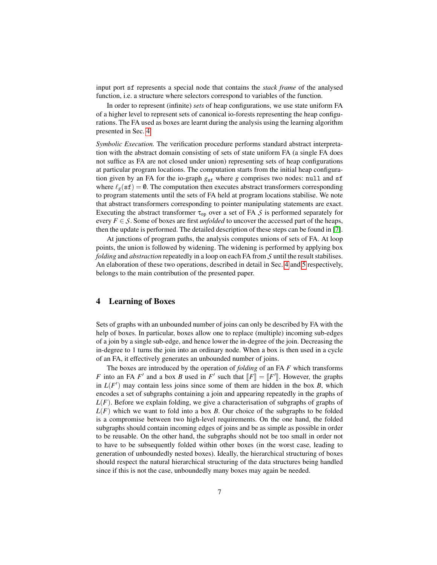input port sf represents a special node that contains the *stack frame* of the analysed function, i.e. a structure where selectors correspond to variables of the function.

In order to represent (infinite) *sets* of heap configurations, we use state uniform FA of a higher level to represent sets of canonical io-forests representing the heap configurations. The FA used as boxes are learnt during the analysis using the learning algorithm presented in Sec. [4.](#page-6-0)

*Symbolic Execution.* The verification procedure performs standard abstract interpretation with the abstract domain consisting of sets of state uniform FA (a single FA does not suffice as FA are not closed under union) representing sets of heap configurations at particular program locations. The computation starts from the initial heap configuration given by an FA for the io-graph  $g_{sf}$  where  $g$  comprises two nodes: null and  $sf$ where  $\ell_g(\text{sf}) = \emptyset$ . The computation then executes abstract transformers corresponding to program statements until the sets of FA held at program locations stabilise. We note that abstract transformers corresponding to pointer manipulating statements are exact. Executing the abstract transformer  $\tau_{op}$  over a set of FA  $S$  is performed separately for every  $F \in S$ . Some of boxes are first *unfolded* to uncover the accessed part of the heaps, then the update is performed. The detailed description of these steps can be found in [\[7\]](#page-15-11).

At junctions of program paths, the analysis computes unions of sets of FA. At loop points, the union is followed by widening. The widening is performed by applying box *folding* and *abstraction* repeatedly in a loop on each FA from *S* until the result stabilises. An elaboration of these two operations, described in detail in Sec. [4](#page-6-0) and [5](#page-12-0) respectively, belongs to the main contribution of the presented paper.

## <span id="page-6-0"></span>4 Learning of Boxes

Sets of graphs with an unbounded number of joins can only be described by FA with the help of boxes. In particular, boxes allow one to replace (multiple) incoming sub-edges of a join by a single sub-edge, and hence lower the in-degree of the join. Decreasing the in-degree to 1 turns the join into an ordinary node. When a box is then used in a cycle of an FA, it effectively generates an unbounded number of joins.

The boxes are introduced by the operation of *folding* of an FA *F* which transforms *F* into an FA *F*' and a box *B* used in *F*' such that  $\llbracket F \rrbracket = \llbracket F' \rrbracket$ . However, the graphs in *I*(*E'*) may contain less igins since some of them are hidden in the box *B*, which in  $L(F')$  may contain less joins since some of them are hidden in the box  $B$ , which encodes a set of subgraphs containing a join and appearing repeatedly in the graphs of  $L(F)$ . Before we explain folding, we give a characterisation of subgraphs of graphs of  $L(F)$  which we want to fold into a box *B*. Our choice of the subgraphs to be folded is a compromise between two high-level requirements. On the one hand, the folded subgraphs should contain incoming edges of joins and be as simple as possible in order to be reusable. On the other hand, the subgraphs should not be too small in order not to have to be subsequently folded within other boxes (in the worst case, leading to generation of unboundedly nested boxes). Ideally, the hierarchical structuring of boxes should respect the natural hierarchical structuring of the data structures being handled since if this is not the case, unboundedly many boxes may again be needed.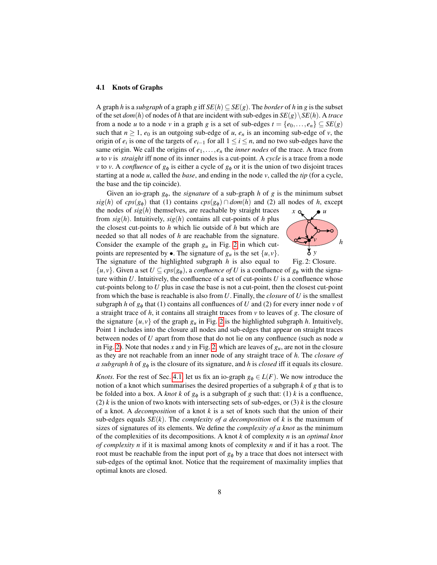#### <span id="page-7-1"></span>4.1 Knots of Graphs

A graph *h* is a *subgraph* of a graph *g* iff  $SE(h) \subseteq SE(g)$ . The *border* of *h* in *g* is the subset of the set  $dom(h)$  of nodes of *h* that are incident with sub-edges in  $SE(g) \setminus SE(h)$ . A *trace* from a node *u* to a node *v* in a graph *g* is a set of sub-edges  $t = \{e_0, \ldots, e_n\} \subseteq SE(g)$ such that  $n \geq 1$ ,  $e_0$  is an outgoing sub-edge of *u*,  $e_n$  is an incoming sub-edge of *v*, the origin of  $e_i$  is one of the targets of  $e_{i-1}$  for all  $1 \le i \le n$ , and no two sub-edges have the same origin. We call the origins of  $e_1, \ldots, e_n$  the *inner nodes* of the trace. A trace from *u* to *v* is *straight* iff none of its inner nodes is a cut-point. A *cycle* is a trace from a node *v* to *v*. A *confluence* of  $g_{\phi}$  is either a cycle of  $g_{\phi}$  or it is the union of two disjoint traces starting at a node *u*, called the *base*, and ending in the node *v*, called the *tip* (for a cycle, the base and the tip coincide).

Given an io-graph *g*φ, the *signature* of a sub-graph *h* of *g* is the minimum subset *sig*(*h*) of *cps*( $g_{\phi}$ ) that (1) contains *cps*( $g_{\phi}$ ) ∩ *dom*(*h*) and (2) all nodes of *h*, except

the nodes of  $sig(h)$  themselves, are reachable by straight traces from *sig*(*h*). Intuitively, *sig*(*h*) contains all cut-points of *h* plus the closest cut-points to *h* which lie outside of *h* but which are needed so that all nodes of *h* are reachable from the signature. Consider the example of the graph  $g_u$  in Fig. [2](#page-7-0) in which cutpoints are represented by  $\bullet$ . The signature of  $g_u$  is the set  $\{u, v\}$ . The signature of the highlighted subgraph *h* is also equal to

<span id="page-7-0"></span>

Fig. 2: Closure.  $\{u, v\}$ . Given a set  $U \subseteq \text{cps}(g_{\phi})$ , a *confluence of U* is a confluence of  $g_{\phi}$  with the signature within  $U$ . Intuitively, the confluence of a set of cut-points  $U$  is a confluence whose cut-points belong to *U* plus in case the base is not a cut-point, then the closest cut-point from which the base is reachable is also from *U*. Finally, the *closure* of *U* is the smallest subgraph *h* of  $g_{\phi}$  that (1) contains all confluences of *U* and (2) for every inner node *v* of a straight trace of *h*, it contains all straight traces from *v* to leaves of *g*. The closure of the signature  $\{u, v\}$  of the graph  $g_u$  in Fig. [2](#page-7-0) is the highlighted subgraph *h*. Intuitively, Point 1 includes into the closure all nodes and sub-edges that appear on straight traces between nodes of *U* apart from those that do not lie on any confluence (such as node *u* in Fig. [2\)](#page-7-0). Note that nodes *x* and *y* in Fig. [2,](#page-7-0) which are leaves of *gu*, are not in the closure as they are not reachable from an inner node of any straight trace of *h*. The *closure of a subgraph h* of *g*<sup>φ</sup> is the closure of its signature, and *h* is *closed* iff it equals its closure.

<span id="page-7-2"></span>*Knots.* For the rest of Sec. [4.1,](#page-7-1) let us fix an io-graph  $g_{\phi} \in L(F)$ . We now introduce the notion of a knot which summarises the desired properties of a subgraph *k* of *g* that is to be folded into a box. A *knot k* of  $g_{\phi}$  is a subgraph of *g* such that: (1) *k* is a confluence,  $(2)$  *k* is the union of two knots with intersecting sets of sub-edges, or  $(3)$  *k* is the closure of a knot. A *decomposition* of a knot *k* is a set of knots such that the union of their sub-edges equals  $SE(k)$ . The *complexity of a decomposition* of k is the maximum of sizes of signatures of its elements. We define the *complexity of a knot* as the minimum of the complexities of its decompositions. A knot *k* of complexity *n* is an *optimal knot of complexity n* if it is maximal among knots of complexity *n* and if it has a root. The root must be reachable from the input port of  $g_{\phi}$  by a trace that does not intersect with sub-edges of the optimal knot. Notice that the requirement of maximality implies that optimal knots are closed.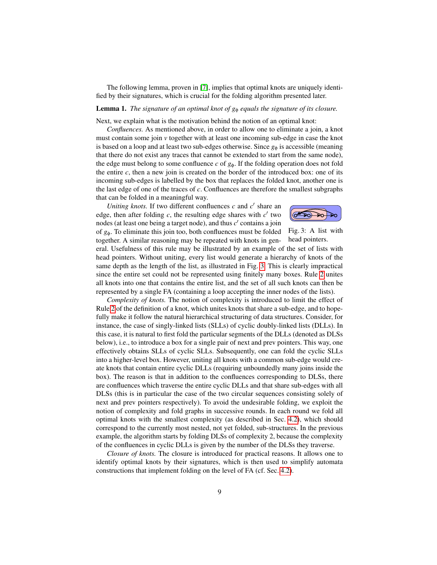The following lemma, proven in [\[7\]](#page-15-11), implies that optimal knots are uniquely identified by their signatures, which is crucial for the folding algorithm presented later.

#### Lemma 1. *The signature of an optimal knot of g*<sup>φ</sup> *equals the signature of its closure.*

Next, we explain what is the motivation behind the notion of an optimal knot:

*Confluences.* As mentioned above, in order to allow one to eliminate a join, a knot must contain some join *v* together with at least one incoming sub-edge in case the knot is based on a loop and at least two sub-edges otherwise. Since  $g_{\phi}$  is accessible (meaning that there do not exist any traces that cannot be extended to start from the same node), the edge must belong to some confluence  $c$  of  $g_{\phi}$ . If the folding operation does not fold the entire  $c$ , then a new join is created on the border of the introduced box: one of its incoming sub-edges is labelled by the box that replaces the folded knot, another one is the last edge of one of the traces of *c*. Confluences are therefore the smallest subgraphs that can be folded in a meaningful way.

Uniting knots. If two different confluences  $c$  and  $c'$  share an edge, then after folding  $c$ , the resulting edge shares with  $c'$  two nodes (at least one being a target node), and thus *c'* contains a join of *g*φ. To eliminate this join too, both confluences must be folded together. A similar reasoning may be repeated with knots in gen-

<span id="page-8-0"></span>

Fig. 3: A list with head pointers.

eral. Usefulness of this rule may be illustrated by an example of the set of lists with head pointers. Without uniting, every list would generate a hierarchy of knots of the same depth as the length of the list, as illustrated in Fig. [3.](#page-8-0) This is clearly impractical since the entire set could not be represented using finitely many boxes. Rule [2](#page-7-2) unites all knots into one that contains the entire list, and the set of all such knots can then be represented by a single FA (containing a loop accepting the inner nodes of the lists).

*Complexity of knots.* The notion of complexity is introduced to limit the effect of Rule [2](#page-7-2) of the definition of a knot, which unites knots that share a sub-edge, and to hopefully make it follow the natural hierarchical structuring of data structures. Consider, for instance, the case of singly-linked lists (SLLs) of cyclic doubly-linked lists (DLLs). In this case, it is natural to first fold the particular segments of the DLLs (denoted as DLSs below), i.e., to introduce a box for a single pair of next and prev pointers. This way, one effectively obtains SLLs of cyclic SLLs. Subsequently, one can fold the cyclic SLLs into a higher-level box. However, uniting all knots with a common sub-edge would create knots that contain entire cyclic DLLs (requiring unboundedly many joins inside the box). The reason is that in addition to the confluences corresponding to DLSs, there are confluences which traverse the entire cyclic DLLs and that share sub-edges with all DLSs (this is in particular the case of the two circular sequences consisting solely of next and prev pointers respectively). To avoid the undesirable folding, we exploit the notion of complexity and fold graphs in successive rounds. In each round we fold all optimal knots with the smallest complexity (as described in Sec. [4.2\)](#page-9-0), which should correspond to the currently most nested, not yet folded, sub-structures. In the previous example, the algorithm starts by folding DLSs of complexity 2, because the complexity of the confluences in cyclic DLLs is given by the number of the DLSs they traverse.

*Closure of knots.* The closure is introduced for practical reasons. It allows one to identify optimal knots by their signatures, which is then used to simplify automata constructions that implement folding on the level of FA (cf. Sec. [4.2\)](#page-9-0).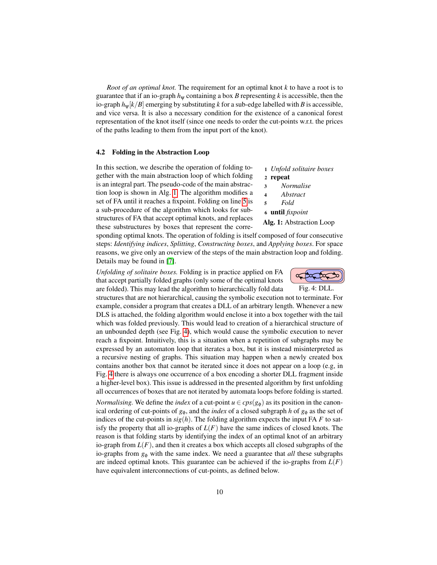*Root of an optimal knot.* The requirement for an optimal knot *k* to have a root is to guarantee that if an io-graph  $h_{\psi}$  containing a box *B* representing *k* is accessible, then the io-graph  $h_w[k/B]$  emerging by substituting k for a sub-edge labelled with *B* is accessible, and vice versa. It is also a necessary condition for the existence of a canonical forest representation of the knot itself (since one needs to order the cut-points w.r.t. the prices of the paths leading to them from the input port of the knot).

#### <span id="page-9-0"></span>4.2 Folding in the Abstraction Loop

In this section, we describe the operation of folding together with the main abstraction loop of which folding is an integral part. The pseudo-code of the main abstraction loop is shown in Alg. [1.](#page-9-1) The algorithm modifies a set of FA until it reaches a fixpoint. Folding on line [5](#page-9-2) is a sub-procedure of the algorithm which looks for substructures of FA that accept optimal knots, and replaces these substructures by boxes that represent the corre-

1 *Unfold solitaire boxes* 2 repeat

- 3 *Normalise*
- 4 *Abstract*
- <span id="page-9-2"></span>5 *Fold*
- <sup>6</sup> until *fixpoint*
- <span id="page-9-1"></span>Alg. 1: Abstraction Loop

sponding optimal knots. The operation of folding is itself composed of four consecutive steps: *Identifying indices*, *Splitting*, *Constructing boxes*, and *Applying boxes*. For space reasons, we give only an overview of the steps of the main abstraction loop and folding. Details may be found in [\[7\]](#page-15-11).

*Unfolding of solitaire boxes.* Folding is in practice applied on FA that accept partially folded graphs (only some of the optimal knots are folded). This may lead the algorithm to hierarchically fold data

structures that are not hierarchical, causing the symbolic execution not to terminate. For example, consider a program that creates a DLL of an arbitrary length. Whenever a new DLS is attached, the folding algorithm would enclose it into a box together with the tail which was folded previously. This would lead to creation of a hierarchical structure of an unbounded depth (see Fig. [4\)](#page-9-3), which would cause the symbolic execution to never reach a fixpoint. Intuitively, this is a situation when a repetition of subgraphs may be expressed by an automaton loop that iterates a box, but it is instead misinterpreted as a recursive nesting of graphs. This situation may happen when a newly created box contains another box that cannot be iterated since it does not appear on a loop (e.g, in Fig. [4](#page-9-3) there is always one occurrence of a box encoding a shorter DLL fragment inside a higher-level box). This issue is addressed in the presented algorithm by first unfolding all occurrences of boxes that are not iterated by automata loops before folding is started.

*Normalising.* We define the *index* of a cut-point  $u \in cps(g_0)$  as its position in the canonical ordering of cut-points of *g*φ, and the *index* of a closed subgraph *h* of *g*<sup>φ</sup> as the set of indices of the cut-points in  $sig(h)$ . The folding algorithm expects the input FA  $F$  to satisfy the property that all io-graphs of  $L(F)$  have the same indices of closed knots. The reason is that folding starts by identifying the index of an optimal knot of an arbitrary io-graph from  $L(F)$ , and then it creates a box which accepts all closed subgraphs of the io-graphs from  $g_{\phi}$  with the same index. We need a guarantee that *all* these subgraphs are indeed optimal knots. This guarantee can be achieved if the io-graphs from *L*(*F*) have equivalent interconnections of cut-points, as defined below.

<span id="page-9-3"></span>

Fig. 4: DLL.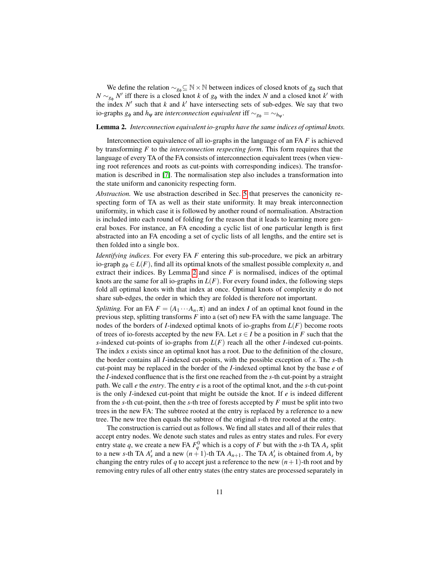We define the relation ∼<sub>*g*φ</sub>⊆ N × N between indices of closed knots of *g*<sub>φ</sub> such that *N* ∼*g*<sup> $\phi$ </sup> *N*<sup>*'*</sup> iff there is a closed knot *k* of *g*<sup> $\phi$ </sup> with the index *N* and a closed knot *k*<sup>*'*</sup> with the index  $N'$  such that  $k$  and  $k'$  have intersecting sets of sub-edges. We say that two io-graphs *g*<sub>φ</sub> and *h*<sub>Ψ</sub> are *interconnection equivalent* iff  $\sim_{g_{\phi}} = \sim_{h_{\Psi}}$ .

#### <span id="page-10-0"></span>Lemma 2. *Interconnection equivalent io-graphs have the same indices of optimal knots.*

Interconnection equivalence of all io-graphs in the language of an FA *F* is achieved by transforming *F* to the *interconnection respecting form*. This form requires that the language of every TA of the FA consists of interconnection equivalent trees (when viewing root references and roots as cut-points with corresponding indices). The transformation is described in [\[7\]](#page-15-11). The normalisation step also includes a transformation into the state uniform and canonicity respecting form.

*Abstraction.* We use abstraction described in Sec. [5](#page-12-0) that preserves the canonicity respecting form of TA as well as their state uniformity. It may break interconnection uniformity, in which case it is followed by another round of normalisation. Abstraction is included into each round of folding for the reason that it leads to learning more general boxes. For instance, an FA encoding a cyclic list of one particular length is first abstracted into an FA encoding a set of cyclic lists of all lengths, and the entire set is then folded into a single box.

*Identifying indices.* For every FA F entering this sub-procedure, we pick an arbitrary io-graph  $g_{\phi} \in L(F)$ , find all its optimal knots of the smallest possible complexity *n*, and extract their indices. By Lemma [2](#page-10-0) and since *F* is normalised, indices of the optimal knots are the same for all io-graphs in  $L(F)$ . For every found index, the following steps fold all optimal knots with that index at once. Optimal knots of complexity *n* do not share sub-edges, the order in which they are folded is therefore not important.

*Splitting.* For an FA  $F = (A_1 \cdots A_n, \pi)$  and an index *I* of an optimal knot found in the previous step, splitting transforms *F* into a (set of) new FA with the same language. The nodes of the borders of *I*-indexed optimal knots of io-graphs from *L*(*F*) become roots of trees of io-forests accepted by the new FA. Let  $s \in I$  be a position in *F* such that the *s*-indexed cut-points of io-graphs from *L*(*F*) reach all the other *I*-indexed cut-points. The index *s* exists since an optimal knot has a root. Due to the definition of the closure, the border contains all *I*-indexed cut-points, with the possible exception of *s*. The *s*-th cut-point may be replaced in the border of the *I*-indexed optimal knot by the base *e* of the *I*-indexed confluence that is the first one reached from the *s*-th cut-point by a straight path. We call *e* the *entry*. The entry *e* is a root of the optimal knot, and the *s*-th cut-point is the only *I*-indexed cut-point that might be outside the knot. If *e* is indeed different from the *s*-th cut-point, then the *s*-th tree of forests accepted by *F* must be split into two trees in the new FA: The subtree rooted at the entry is replaced by a reference to a new tree. The new tree then equals the subtree of the original *s*-th tree rooted at the entry.

The construction is carried out as follows. We find all states and all of their rules that accept entry nodes. We denote such states and rules as entry states and rules. For every entry state q, we create a new FA  $F_q^0$  which is a copy of F but with the *s*-th TA  $A_s$  split to a new *s*-th TA  $A'_s$  and a new  $(n+1)$ -th TA  $A_{n+1}$ . The TA  $A'_s$  is obtained from  $A_s$  by changing the entry rules of *q* to accept just a reference to the new  $(n+1)$ -th root and by removing entry rules of all other entry states (the entry states are processed separately in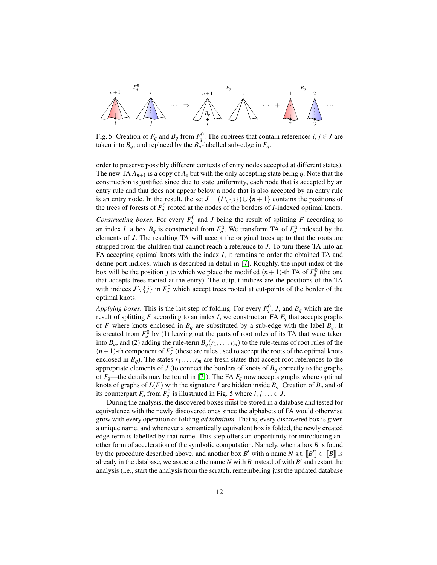<span id="page-11-0"></span>

Fig. 5: Creation of  $F_q$  and  $B_q$  from  $F_q^0$ . The subtrees that contain references  $i, j \in J$  are taken into  $B_q$ , and replaced by the  $B_q$ -labelled sub-edge in  $F_q$ .

order to preserve possibly different contexts of entry nodes accepted at different states). The new TA  $A_{n+1}$  is a copy of  $A_s$  but with the only accepting state being q. Note that the construction is justified since due to state uniformity, each node that is accepted by an entry rule and that does not appear below a node that is also accepted by an entry rule is an entry node. In the result, the set  $J = (I \setminus \{s\}) \cup \{n+1\}$  contains the positions of the trees of forests of  $F_q^0$  rooted at the nodes of the borders of *I*-indexed optimal knots.

*Constructing boxes.* For every  $F_q^0$  and *J* being the result of splitting *F* according to an index *I*, a box  $B_q$  is constructed from  $F_q^0$ . We transform TA of  $F_q^0$  indexed by the elements of *J*. The resulting TA will accept the original trees up to that the roots are stripped from the children that cannot reach a reference to *J*. To turn these TA into an FA accepting optimal knots with the index *I*, it remains to order the obtained TA and define port indices, which is described in detail in [\[7\]](#page-15-11). Roughly, the input index of the box will be the position *j* to which we place the modified  $(n+1)$ -th TA of  $F_q^0$  (the one that accepts trees rooted at the entry). The output indices are the positions of the TA with indices  $J \setminus \{j\}$  in  $F_q^0$  which accept trees rooted at cut-points of the border of the optimal knots.

*Applying boxes.* This is the last step of folding. For every  $F_q^0$ , *J*, and  $B_q$  which are the result of splitting *F* according to an index *I*, we construct an FA  $F_q$  that accepts graphs of *F* where knots enclosed in  $B_q$  are substituted by a sub-edge with the label  $B_q$ . It is created from  $F_q^0$  by (1) leaving out the parts of root rules of its TA that were taken into  $B_q$ , and (2) adding the rule-term  $B_q(r_1,\ldots,r_m)$  to the rule-terms of root rules of the  $(n+1)$ -th component of  $F_q^0$  (these are rules used to accept the roots of the optimal knots enclosed in  $B_q$ ). The states  $r_1, \ldots, r_m$  are fresh states that accept root references to the appropriate elements of  $J$  (to connect the borders of knots of  $B_q$  correctly to the graphs of  $F_q$ —the details may be found in [\[7\]](#page-15-11)). The FA  $F_q$  now accepts graphs where optimal knots of graphs of  $L(F)$  with the signature *I* are hidden inside  $B_q$ . Creation of  $B_q$  and of its counterpart  $F_q$  from  $F_q^0$  is illustrated in Fig. [5](#page-11-0) where  $i, j, \ldots \in J$ .

During the analysis, the discovered boxes must be stored in a database and tested for equivalence with the newly discovered ones since the alphabets of FA would otherwise grow with every operation of folding *ad infinitum*. That is, every discovered box is given a unique name, and whenever a semantically equivalent box is folded, the newly created edge-term is labelled by that name. This step offers an opportunity for introducing another form of acceleration of the symbolic computation. Namely, when a box *B* is found by the procedure described above, and another box *B*' with a name *N* s.t.  $[[B']] \subseteq [[B]]$  is already in the database, we associate the name *N* with *B* instead of with *B'* and restart the already in the database, we associate the name  $N$  with  $B$  instead of with  $B'$  and restart the analysis (i.e., start the analysis from the scratch, remembering just the updated database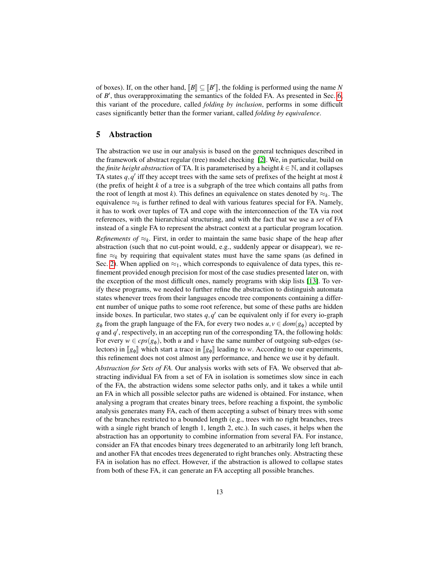of boxes). If, on the other hand,  $[B] \subseteq [B']$ , the folding is performed using the name *N* of *B*<sup>k</sup> thus overanoproximating the semantics of the folded  $FA$ . As presented in Sec. 6 of  $B'$ , thus overapproximating the semantics of the folded FA. As presented in Sec. [6,](#page-13-0) this variant of the procedure, called *folding by inclusion*, performs in some difficult cases significantly better than the former variant, called *folding by equivalence*.

## <span id="page-12-0"></span>5 Abstraction

The abstraction we use in our analysis is based on the general techniques described in the framework of abstract regular (tree) model checking [\[2\]](#page-15-1). We, in particular, build on the *finite height abstraction* of TA. It is parameterised by a height  $k \in \mathbb{N}$ , and it collapses TA states  $q, q'$  iff they accept trees with the same sets of prefixes of the height at most  $k$ (the prefix of height *k* of a tree is a subgraph of the tree which contains all paths from the root of length at most *k*). This defines an equivalence on states denoted by  $\approx_k$ . The equivalence  $\approx_k$  is further refined to deal with various features special for FA. Namely, it has to work over tuples of TA and cope with the interconnection of the TA via root references, with the hierarchical structuring, and with the fact that we use a *set* of FA instead of a single FA to represent the abstract context at a particular program location.

*Refinements of*  $\approx_k$ *.* First, in order to maintain the same basic shape of the heap after abstraction (such that no cut-point would, e.g., suddenly appear or disappear), we refine  $\approx_k$  by requiring that equivalent states must have the same spans (as defined in Sec. [2\)](#page-2-0). When applied on  $\approx_1$ , which corresponds to equivalence of data types, this refinement provided enough precision for most of the case studies presented later on, with the exception of the most difficult ones, namely programs with skip lists [\[13\]](#page-15-12). To verify these programs, we needed to further refine the abstraction to distinguish automata states whenever trees from their languages encode tree components containing a different number of unique paths to some root reference, but some of these paths are hidden inside boxes. In particular, two states  $q, q'$  can be equivalent only if for every io-graph *g*<sub>φ</sub> from the graph language of the FA, for every two nodes  $u, v \in dom(g_{\phi})$  accepted by  $q$  and  $q'$ , respectively, in an accepting run of the corresponding TA, the following holds: For every  $w \in cps(g_{\phi})$ , both *u* and *v* have the same number of outgoing sub-edges (selectors) in  $\llbracket g_{\phi} \rrbracket$  which start a trace in  $\llbracket g_{\phi} \rrbracket$  leading to *w*. According to our experiments, this refinement does not cost almost any performance, and hence we use it by default.

*Abstraction for Sets of FA.* Our analysis works with sets of FA. We observed that abstracting individual FA from a set of FA in isolation is sometimes slow since in each of the FA, the abstraction widens some selector paths only, and it takes a while until an FA in which all possible selector paths are widened is obtained. For instance, when analysing a program that creates binary trees, before reaching a fixpoint, the symbolic analysis generates many FA, each of them accepting a subset of binary trees with some of the branches restricted to a bounded length (e.g., trees with no right branches, trees with a single right branch of length 1, length 2, etc.). In such cases, it helps when the abstraction has an opportunity to combine information from several FA. For instance, consider an FA that encodes binary trees degenerated to an arbitrarily long left branch, and another FA that encodes trees degenerated to right branches only. Abstracting these FA in isolation has no effect. However, if the abstraction is allowed to collapse states from both of these FA, it can generate an FA accepting all possible branches.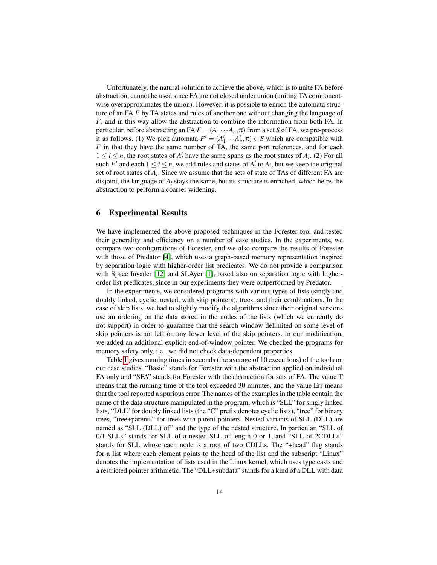Unfortunately, the natural solution to achieve the above, which is to unite FA before abstraction, cannot be used since FA are not closed under union (uniting TA componentwise overapproximates the union). However, it is possible to enrich the automata structure of an FA *F* by TA states and rules of another one without changing the language of *F*, and in this way allow the abstraction to combine the information from both FA. In particular, before abstracting an FA  $F = (A_1 \cdots A_n, \pi)$  from a set *S* of FA, we pre-process it as follows. (1) We pick automata  $F' = (A'_1 \cdots A'_n, \pi) \in S$  which are compatible with *F* in that they have the same number of TA, the same port references, and for each  $1 \le i \le n$ , the root states of  $A'_i$  have the same spans as the root states of  $A_i$ . (2) For all such  $F'$  and each  $1 \le i \le n$ , we add rules and states of  $A'_i$  to  $A_i$ , but we keep the original set of root states of *A<sup>i</sup>* . Since we assume that the sets of state of TAs of different FA are disjoint, the language of  $A_i$  stays the same, but its structure is enriched, which helps the abstraction to perform a coarser widening.

## <span id="page-13-0"></span>6 Experimental Results

We have implemented the above proposed techniques in the Forester tool and tested their generality and efficiency on a number of case studies. In the experiments, we compare two configurations of Forester, and we also compare the results of Forester with those of Predator [\[4\]](#page-15-2), which uses a graph-based memory representation inspired by separation logic with higher-order list predicates. We do not provide a comparison with Space Invader [\[12\]](#page-15-3) and SLAyer [\[1\]](#page-15-4), based also on separation logic with higherorder list predicates, since in our experiments they were outperformed by Predator.

In the experiments, we considered programs with various types of lists (singly and doubly linked, cyclic, nested, with skip pointers), trees, and their combinations. In the case of skip lists, we had to slightly modify the algorithms since their original versions use an ordering on the data stored in the nodes of the lists (which we currently do not support) in order to guarantee that the search window delimited on some level of skip pointers is not left on any lower level of the skip pointers. In our modification, we added an additional explicit end-of-window pointer. We checked the programs for memory safety only, i.e., we did not check data-dependent properties.

Table [1](#page-14-0) gives running times in seconds (the average of 10 executions) of the tools on our case studies. "Basic" stands for Forester with the abstraction applied on individual FA only and "SFA" stands for Forester with the abstraction for sets of FA. The value T means that the running time of the tool exceeded 30 minutes, and the value Err means that the tool reported a spurious error. The names of the examples in the table contain the name of the data structure manipulated in the program, which is "SLL" for singly linked lists, "DLL" for doubly linked lists (the "C" prefix denotes cyclic lists), "tree" for binary trees, "tree+parents" for trees with parent pointers. Nested variants of SLL (DLL) are named as "SLL (DLL) of" and the type of the nested structure. In particular, "SLL of 0/1 SLLs" stands for SLL of a nested SLL of length 0 or 1, and "SLL of 2CDLLs" stands for SLL whose each node is a root of two CDLLs. The "+head" flag stands for a list where each element points to the head of the list and the subscript "Linux" denotes the implementation of lists used in the Linux kernel, which uses type casts and a restricted pointer arithmetic. The "DLL+subdata" stands for a kind of a DLL with data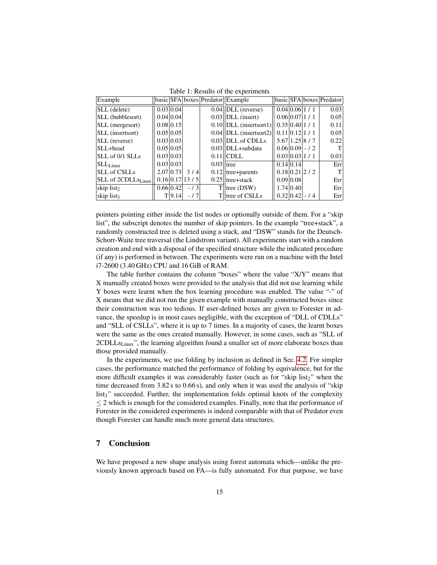Table 1: Results of the experiments

<span id="page-14-0"></span>

| Example                             |           |                |               | basic SFA boxes Predator Example |               |                       | basic SFA boxes Predator |
|-------------------------------------|-----------|----------------|---------------|----------------------------------|---------------|-----------------------|--------------------------|
| SLL (delete)                        | 0.03 0.04 |                |               | $0.04$   DLL (reverse)           |               | 0.04 0.06 1/1         | 0.03                     |
| SLL (bubblesort)                    | 0.04 0.04 |                |               | $0.03$   DLL (insert)            |               | 0.06 0.07 1/1         | 0.05                     |
| SLL (mergesort)                     | 0.08 0.15 |                |               | $0.10$   DLL (insertsort1)       | 0.35 0.40 1/1 |                       | 0.11                     |
| SLL (insertsort)                    | 0.05 0.05 |                |               | $0.04$   DLL (insertsort2)       | 0.11 0.12 1/1 |                       | 0.05                     |
| SLL (reverse)                       | 0.03 0.03 |                |               | $0.03$ DLL of CDLLs              |               | $5.67$   1.25   8 / 7 | 0.22                     |
| $SLI + head$                        | 0.05 0.05 |                |               | $0.03$   DLL+subdata             |               | $0.06 0.09  - 72$     |                          |
| SLL of 0/1 SLLs                     | 0.03 0.03 |                |               | $0.11$   CDLL                    | 0.03 0.03 1/1 |                       | 0.03                     |
| $SLL_{Linux}$                       | 0.03 0.03 |                | $0.03$   tree |                                  | 0.14 0.14     |                       | Err                      |
| SLL of CSLLs                        | 2.07 0.73 | 3/4            |               | $0.12$   tree+parents            |               | 0.18 0.21 2/2         |                          |
| $ SLL$ of 2CDLLs $_{\text{Linux}} $ |           | 0.16 0.17 13/5 |               | $0.25$   tree+stack              | 0.09 0.08     |                       | Err                      |
| skip list                           | 0.66 0.42 | $-13$          |               | $T$ <i>l</i> tree (DSW)          | 1.74 0.40     |                       | Err                      |
| skip list                           | T[9.14]   | $-17$          |               | Tlere of CSLLs                   |               | $0.32 0.42 -74$       | Err                      |

pointers pointing either inside the list nodes or optionally outside of them. For a "skip list", the subscript denotes the number of skip pointers. In the example "tree+stack", a randomly constructed tree is deleted using a stack, and "DSW" stands for the Deutsch-Schorr-Waite tree traversal (the Lindstrom variant). All experiments start with a random creation and end with a disposal of the specified structure while the indicated procedure (if any) is performed in between. The experiments were run on a machine with the Intel i7-2600 (3.40 GHz) CPU and 16 GiB of RAM.

The table further contains the column "boxes" where the value "X/Y" means that X manually created boxes were provided to the analysis that did not use learning while Y boxes were learnt when the box learning procedure was enabled. The value "-" of X means that we did not run the given example with manually constructed boxes since their construction was too tedious. If user-defined boxes are given to Forester in advance, the speedup is in most cases negligible, with the exception of "DLL of CDLLs" and "SLL of CSLLs", where it is up to 7 times. In a majority of cases, the learnt boxes were the same as the ones created manually. However, in some cases, such as "SLL of 2CDLLs<sub>Linux</sub>", the learning algorithm found a smaller set of more elaborate boxes than those provided manually.

In the experiments, we use folding by inclusion as defined in Sec. [4.2.](#page-9-0) For simpler cases, the performance matched the performance of folding by equivalence, but for the more difficult examples it was considerably faster (such as for "skip list<sub>2</sub>" when the time decreased from  $3.82$  s to  $0.66$  s), and only when it was used the analysis of "skip"  $list_3$ " succeeded. Further, the implementation folds optimal knots of the complexity ≤ 2 which is enough for the considered examples. Finally, note that the performance of Forester in the considered experiments is indeed comparable with that of Predator even though Forester can handle much more general data structures.

# 7 Conclusion

We have proposed a new shape analysis using forest automata which—unlike the previously known approach based on FA—is fully automated. For that purpose, we have